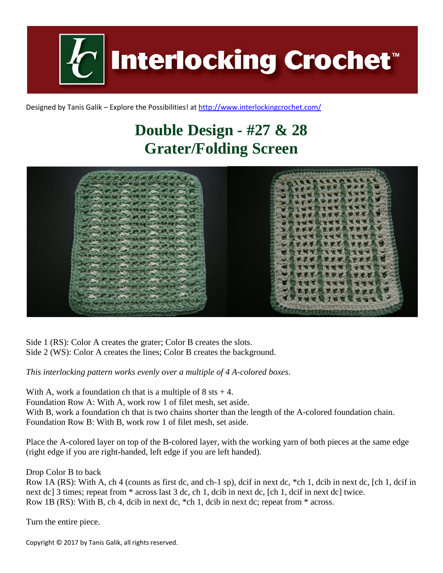**Interlocking Crochet** 

Designed by Tanis Galik – Explore the Possibilities! a[t http://www.interlockingcrochet.com/](http://www.interlockingcrochet.com/)

## **Double Design - #27 & 28 Grater/Folding Screen**



Side 1 (RS): Color A creates the grater; Color B creates the slots. Side 2 (WS): Color A creates the lines; Color B creates the background.

*This interlocking pattern works evenly over a multiple of 4 A-colored boxes.*

With A, work a foundation ch that is a multiple of  $8$  sts  $+4$ . Foundation Row A: With A, work row 1 of filet mesh, set aside. With B, work a foundation ch that is two chains shorter than the length of the A-colored foundation chain. Foundation Row B: With B, work row 1 of filet mesh, set aside.

Place the A-colored layer on top of the B-colored layer, with the working yarn of both pieces at the same edge (right edge if you are right-handed, left edge if you are left handed).

Drop Color B to back

Row 1A (RS): With A, ch 4 (counts as first dc, and ch-1 sp), dcif in next dc, \*ch 1, dcib in next dc, [ch 1, dcif in next dc] 3 times; repeat from  $*$  across last 3 dc, ch 1, dcib in next dc, [ch 1, dcif in next dc] twice. Row 1B (RS): With B, ch 4, dcib in next dc, \*ch 1, dcib in next dc; repeat from \* across.

Turn the entire piece.

Copyright © 2017 by Tanis Galik, all rights reserved.